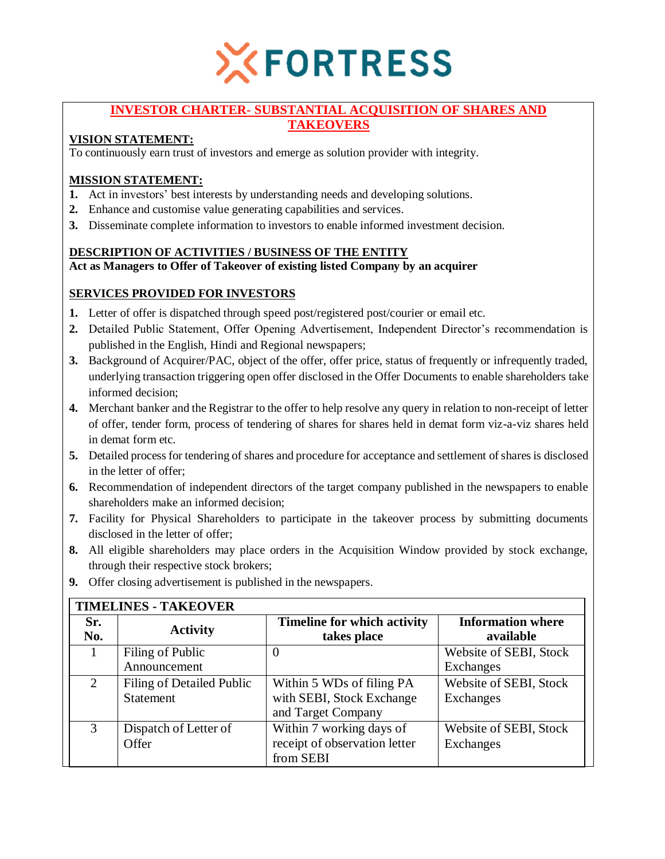

## **INVESTOR CHARTER- SUBSTANTIAL ACQUISITION OF SHARES AND TAKEOVERS**

# **VISION STATEMENT:**

To continuously earn trust of investors and emerge as solution provider with integrity.

# **MISSION STATEMENT:**

- **1.** Act in investors' best interests by understanding needs and developing solutions.
- **2.** Enhance and customise value generating capabilities and services.
- **3.** Disseminate complete information to investors to enable informed investment decision.

## **DESCRIPTION OF ACTIVITIES / BUSINESS OF THE ENTITY**

**Act as Managers to Offer of Takeover of existing listed Company by an acquirer**

## **SERVICES PROVIDED FOR INVESTORS**

- **1.** Letter of offer is dispatched through speed post/registered post/courier or email etc.
- **2.** Detailed Public Statement, Offer Opening Advertisement, Independent Director's recommendation is published in the English, Hindi and Regional newspapers;
- **3.** Background of Acquirer/PAC, object of the offer, offer price, status of frequently or infrequently traded, underlying transaction triggering open offer disclosed in the Offer Documents to enable shareholders take informed decision;
- **4.** Merchant banker and the Registrar to the offer to help resolve any query in relation to non-receipt of letter of offer, tender form, process of tendering of shares for shares held in demat form viz-a-viz shares held in demat form etc.
- **5.** Detailed process for tendering of shares and procedure for acceptance and settlement of shares is disclosed in the letter of offer;
- **6.** Recommendation of independent directors of the target company published in the newspapers to enable shareholders make an informed decision;
- **7.** Facility for Physical Shareholders to participate in the takeover process by submitting documents disclosed in the letter of offer;
- **8.** All eligible shareholders may place orders in the Acquisition Window provided by stock exchange, through their respective stock brokers;

| <b>TIMELINES - TAKEOVER</b> |                                        |                                                                              |                                       |  |  |  |
|-----------------------------|----------------------------------------|------------------------------------------------------------------------------|---------------------------------------|--|--|--|
| Sr.<br>No.                  | <b>Activity</b>                        | <b>Timeline for which activity</b><br>takes place                            | <b>Information where</b><br>available |  |  |  |
|                             | Filing of Public<br>Announcement       | 0                                                                            | Website of SEBI, Stock<br>Exchanges   |  |  |  |
| $\mathcal{D}_{\mathcal{L}}$ | Filing of Detailed Public<br>Statement | Within 5 WDs of filing PA<br>with SEBI, Stock Exchange<br>and Target Company | Website of SEBI, Stock<br>Exchanges   |  |  |  |
| $\mathcal{R}$               | Dispatch of Letter of<br>Offer         | Within 7 working days of<br>receipt of observation letter<br>from SEBI       | Website of SEBI, Stock<br>Exchanges   |  |  |  |

**9.** Offer closing advertisement is published in the newspapers.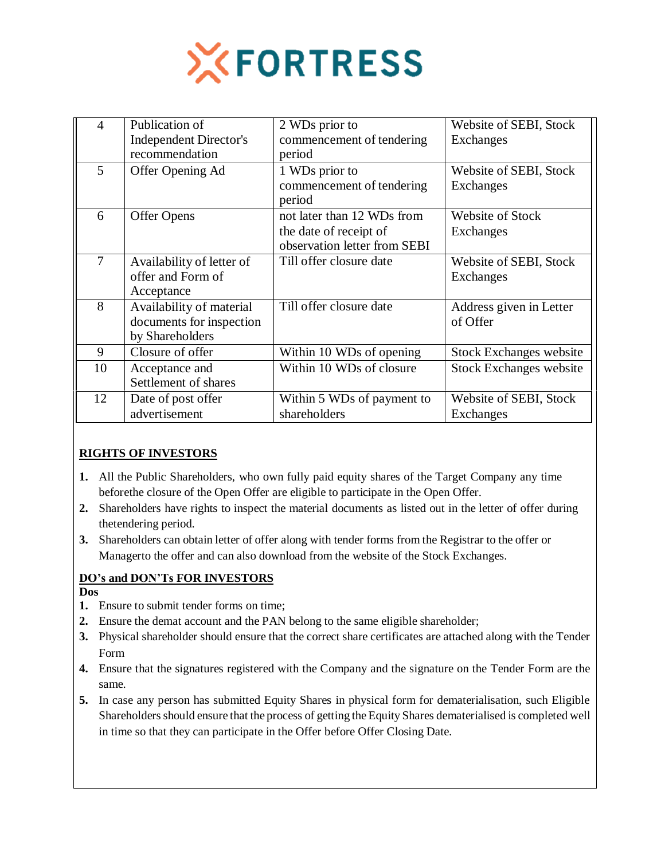

| $\overline{4}$ | Publication of<br><b>Independent Director's</b><br>recommendation       | 2 WDs prior to<br>commencement of tendering<br>period                                | Website of SEBI, Stock<br><b>Exchanges</b> |
|----------------|-------------------------------------------------------------------------|--------------------------------------------------------------------------------------|--------------------------------------------|
| 5              | Offer Opening Ad                                                        | 1 WDs prior to<br>commencement of tendering<br>period                                | Website of SEBI, Stock<br><b>Exchanges</b> |
| 6              | Offer Opens                                                             | not later than 12 WDs from<br>the date of receipt of<br>observation letter from SEBI | Website of Stock<br>Exchanges              |
| 7              | Availability of letter of<br>offer and Form of<br>Acceptance            | Till offer closure date                                                              | Website of SEBI, Stock<br><b>Exchanges</b> |
| 8              | Availability of material<br>documents for inspection<br>by Shareholders | Till offer closure date                                                              | Address given in Letter<br>of Offer        |
| 9              | Closure of offer                                                        | Within 10 WDs of opening                                                             | <b>Stock Exchanges website</b>             |
| 10             | Acceptance and<br>Settlement of shares                                  | Within 10 WDs of closure                                                             | <b>Stock Exchanges website</b>             |
| 12             | Date of post offer<br>advertisement                                     | Within 5 WDs of payment to<br>shareholders                                           | Website of SEBI, Stock<br>Exchanges        |

# **RIGHTS OF INVESTORS**

- **1.** All the Public Shareholders, who own fully paid equity shares of the Target Company any time beforethe closure of the Open Offer are eligible to participate in the Open Offer.
- **2.** Shareholders have rights to inspect the material documents as listed out in the letter of offer during thetendering period.
- **3.** Shareholders can obtain letter of offer along with tender forms from the Registrar to the offer or Managerto the offer and can also download from the website of the Stock Exchanges.

### **DO's and DON'Ts FOR INVESTORS**

- **Dos**
- **1.** Ensure to submit tender forms on time;
- **2.** Ensure the demat account and the PAN belong to the same eligible shareholder;
- **3.** Physical shareholder should ensure that the correct share certificates are attached along with the Tender Form
- **4.** Ensure that the signatures registered with the Company and the signature on the Tender Form are the same.
- **5.** In case any person has submitted Equity Shares in physical form for dematerialisation, such Eligible Shareholders should ensure that the process of getting the Equity Shares dematerialised is completed well in time so that they can participate in the Offer before Offer Closing Date.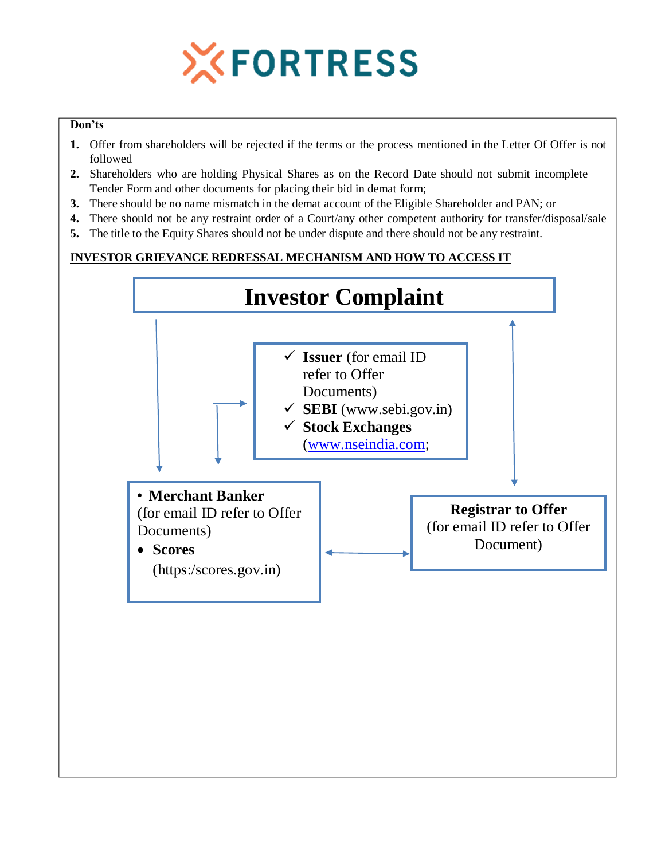

### **Don'ts**

- **1.** Offer from shareholders will be rejected if the terms or the process mentioned in the Letter Of Offer is not followed
- **2.** Shareholders who are holding Physical Shares as on the Record Date should not submit incomplete Tender Form and other documents for placing their bid in demat form;
- **3.** There should be no name mismatch in the demat account of the Eligible Shareholder and PAN; or
- **4.** There should not be any restraint order of a Court/any other competent authority for transfer/disposal/sale
- **5.** The title to the Equity Shares should not be under dispute and there should not be any restraint.

# **INVESTOR GRIEVANCE REDRESSAL MECHANISM AND HOW TO ACCESS IT**

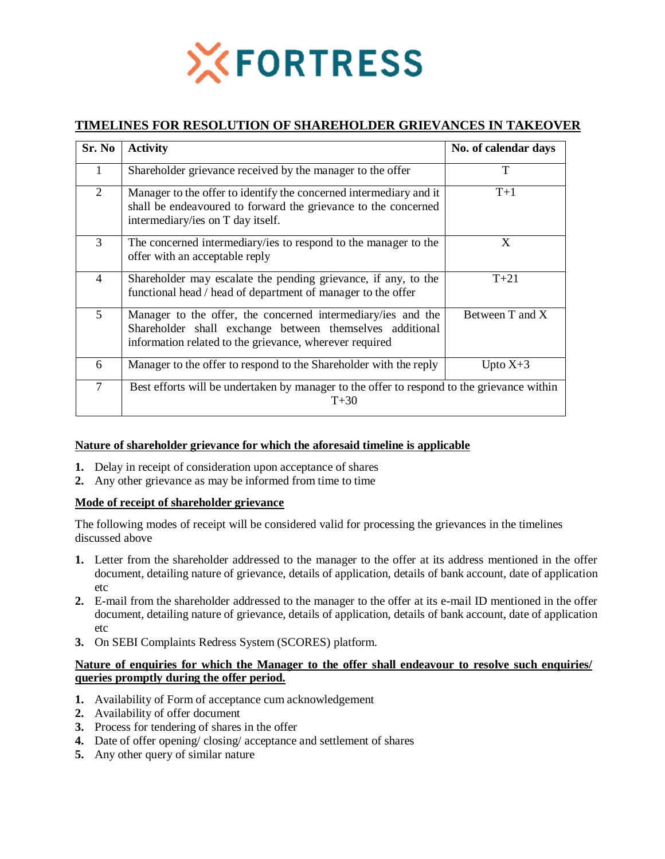

# **TIMELINES FOR RESOLUTION OF SHAREHOLDER GRIEVANCES IN TAKEOVER**

| Sr. No         | <b>Activity</b>                                                                                                                                                                     | No. of calendar days |  |
|----------------|-------------------------------------------------------------------------------------------------------------------------------------------------------------------------------------|----------------------|--|
|                | Shareholder grievance received by the manager to the offer                                                                                                                          | T                    |  |
| $\overline{2}$ | Manager to the offer to identify the concerned intermediary and it<br>shall be endeavoured to forward the grievance to the concerned<br>intermediary/ies on T day itself.           | $T+1$                |  |
| 3              | The concerned intermediary/ies to respond to the manager to the<br>offer with an acceptable reply                                                                                   | X                    |  |
| $\overline{4}$ | Shareholder may escalate the pending grievance, if any, to the<br>functional head / head of department of manager to the offer                                                      | $T+21$               |  |
| 5              | Manager to the offer, the concerned intermediary/ies and the<br>Shareholder shall exchange between themselves additional<br>information related to the grievance, wherever required | Between T and X      |  |
| 6              | Manager to the offer to respond to the Shareholder with the reply                                                                                                                   | Upto $X+3$           |  |
| $\tau$         | Best efforts will be undertaken by manager to the offer to respond to the grievance within<br>$T + 30$                                                                              |                      |  |

### **Nature of shareholder grievance for which the aforesaid timeline is applicable**

- **1.** Delay in receipt of consideration upon acceptance of shares
- **2.** Any other grievance as may be informed from time to time

### **Mode of receipt of shareholder grievance**

The following modes of receipt will be considered valid for processing the grievances in the timelines discussed above

- **1.** Letter from the shareholder addressed to the manager to the offer at its address mentioned in the offer document, detailing nature of grievance, details of application, details of bank account, date of application etc
- **2.** E-mail from the shareholder addressed to the manager to the offer at its e-mail ID mentioned in the offer document, detailing nature of grievance, details of application, details of bank account, date of application etc
- **3.** On SEBI Complaints Redress System (SCORES) platform.

### **Nature of enquiries for which the Manager to the offer shall endeavour to resolve such enquiries/ queries promptly during the offer period.**

- **1.** Availability of Form of acceptance cum acknowledgement
- **2.** Availability of offer document
- **3.** Process for tendering of shares in the offer
- **4.** Date of offer opening/ closing/ acceptance and settlement of shares
- **5.** Any other query of similar nature